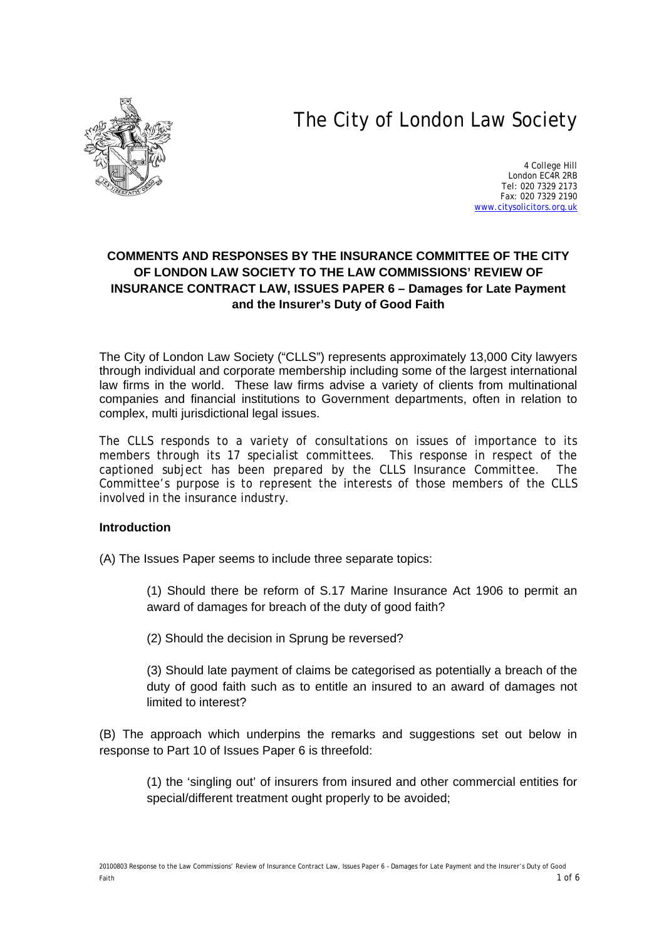# The City of London Law Society



4 College Hill London EC4R 2RB Tel: 020 7329 2173 Fax: 020 7329 2190 [www.citysolicitors.org.uk](http://www.citysolicitors.org.uk/)

## **COMMENTS AND RESPONSES BY THE INSURANCE COMMITTEE OF THE CITY OF LONDON LAW SOCIETY TO THE LAW COMMISSIONS' REVIEW OF INSURANCE CONTRACT LAW, ISSUES PAPER 6 – Damages for Late Payment and the Insurer's Duty of Good Faith**

The City of London Law Society ("CLLS") represents approximately 13,000 City lawyers through individual and corporate membership including some of the largest international law firms in the world. These law firms advise a variety of clients from multinational companies and financial institutions to Government departments, often in relation to complex, multi jurisdictional legal issues.

The CLLS responds to a variety of consultations on issues of importance to its members through its 17 specialist committees. This response in respect of the captioned subject has been prepared by the CLLS Insurance Committee. The Committee's purpose is to represent the interests of those members of the CLLS involved in the insurance industry.

### **Introduction**

(A) The Issues Paper seems to include three separate topics:

(1) Should there be reform of S.17 Marine Insurance Act 1906 to permit an award of damages for breach of the duty of good faith?

(2) Should the decision in Sprung be reversed?

(3) Should late payment of claims be categorised as potentially a breach of the duty of good faith such as to entitle an insured to an award of damages not limited to interest?

(B) The approach which underpins the remarks and suggestions set out below in response to Part 10 of Issues Paper 6 is threefold:

(1) the 'singling out' of insurers from insured and other commercial entities for special/different treatment ought properly to be avoided;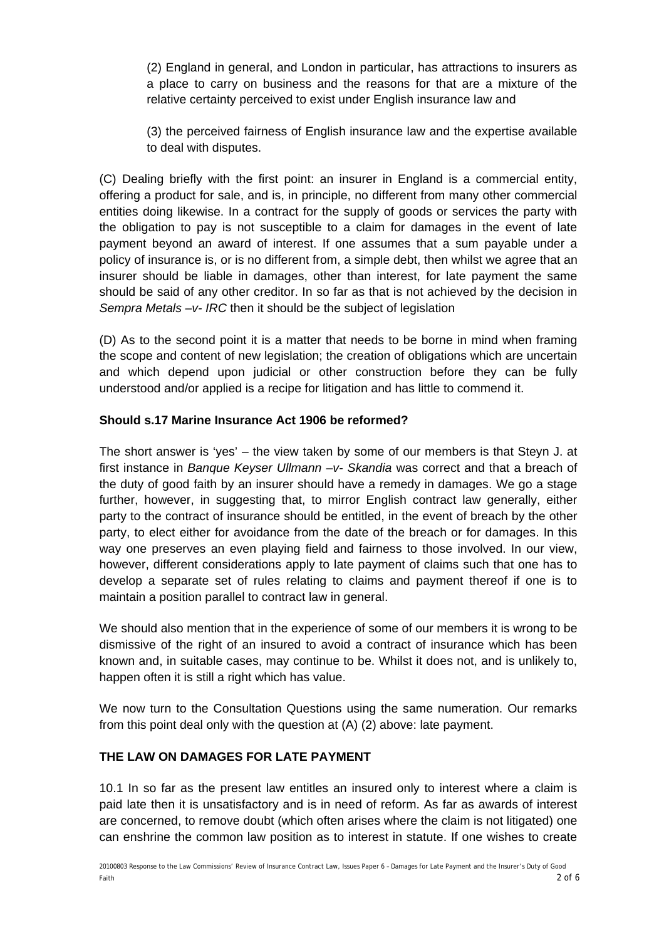(2) England in general, and London in particular, has attractions to insurers as a place to carry on business and the reasons for that are a mixture of the relative certainty perceived to exist under English insurance law and

(3) the perceived fairness of English insurance law and the expertise available to deal with disputes.

(C) Dealing briefly with the first point: an insurer in England is a commercial entity, offering a product for sale, and is, in principle, no different from many other commercial entities doing likewise. In a contract for the supply of goods or services the party with the obligation to pay is not susceptible to a claim for damages in the event of late payment beyond an award of interest. If one assumes that a sum payable under a policy of insurance is, or is no different from, a simple debt, then whilst we agree that an insurer should be liable in damages, other than interest, for late payment the same should be said of any other creditor. In so far as that is not achieved by the decision in *Sempra Metals –v- IRC* then it should be the subject of legislation

(D) As to the second point it is a matter that needs to be borne in mind when framing the scope and content of new legislation; the creation of obligations which are uncertain and which depend upon judicial or other construction before they can be fully understood and/or applied is a recipe for litigation and has little to commend it.

### **Should s.17 Marine Insurance Act 1906 be reformed?**

The short answer is 'yes' – the view taken by some of our members is that Steyn J. at first instance in *Banque Keyser Ullmann –v- Skandia* was correct and that a breach of the duty of good faith by an insurer should have a remedy in damages. We go a stage further, however, in suggesting that, to mirror English contract law generally, either party to the contract of insurance should be entitled, in the event of breach by the other party, to elect either for avoidance from the date of the breach or for damages. In this way one preserves an even playing field and fairness to those involved. In our view, however, different considerations apply to late payment of claims such that one has to develop a separate set of rules relating to claims and payment thereof if one is to maintain a position parallel to contract law in general.

We should also mention that in the experience of some of our members it is wrong to be dismissive of the right of an insured to avoid a contract of insurance which has been known and, in suitable cases, may continue to be. Whilst it does not, and is unlikely to, happen often it is still a right which has value.

We now turn to the Consultation Questions using the same numeration. Our remarks from this point deal only with the question at (A) (2) above: late payment.

## **THE LAW ON DAMAGES FOR LATE PAYMENT**

10.1 In so far as the present law entitles an insured only to interest where a claim is paid late then it is unsatisfactory and is in need of reform. As far as awards of interest are concerned, to remove doubt (which often arises where the claim is not litigated) one can enshrine the common law position as to interest in statute. If one wishes to create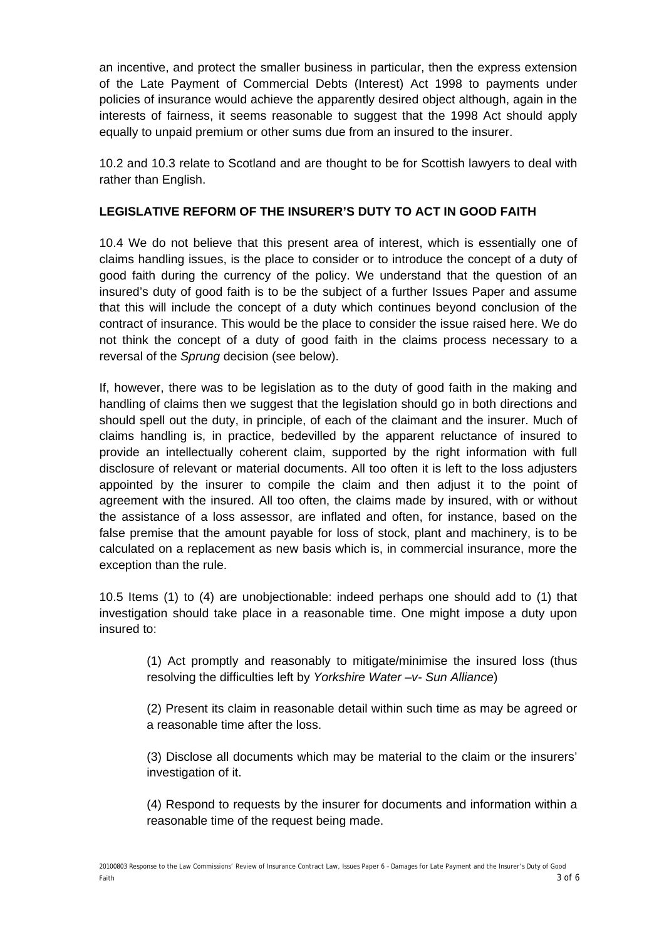an incentive, and protect the smaller business in particular, then the express extension of the Late Payment of Commercial Debts (Interest) Act 1998 to payments under policies of insurance would achieve the apparently desired object although, again in the interests of fairness, it seems reasonable to suggest that the 1998 Act should apply equally to unpaid premium or other sums due from an insured to the insurer.

10.2 and 10.3 relate to Scotland and are thought to be for Scottish lawyers to deal with rather than English.

## **LEGISLATIVE REFORM OF THE INSURER'S DUTY TO ACT IN GOOD FAITH**

10.4 We do not believe that this present area of interest, which is essentially one of claims handling issues, is the place to consider or to introduce the concept of a duty of good faith during the currency of the policy. We understand that the question of an insured's duty of good faith is to be the subject of a further Issues Paper and assume that this will include the concept of a duty which continues beyond conclusion of the contract of insurance. This would be the place to consider the issue raised here. We do not think the concept of a duty of good faith in the claims process necessary to a reversal of the *Sprung* decision (see below).

If, however, there was to be legislation as to the duty of good faith in the making and handling of claims then we suggest that the legislation should go in both directions and should spell out the duty, in principle, of each of the claimant and the insurer. Much of claims handling is, in practice, bedevilled by the apparent reluctance of insured to provide an intellectually coherent claim, supported by the right information with full disclosure of relevant or material documents. All too often it is left to the loss adjusters appointed by the insurer to compile the claim and then adjust it to the point of agreement with the insured. All too often, the claims made by insured, with or without the assistance of a loss assessor, are inflated and often, for instance, based on the false premise that the amount payable for loss of stock, plant and machinery, is to be calculated on a replacement as new basis which is, in commercial insurance, more the exception than the rule.

10.5 Items (1) to (4) are unobjectionable: indeed perhaps one should add to (1) that investigation should take place in a reasonable time. One might impose a duty upon insured to:

(1) Act promptly and reasonably to mitigate/minimise the insured loss (thus resolving the difficulties left by *Yorkshire Water –v- Sun Alliance*)

(2) Present its claim in reasonable detail within such time as may be agreed or a reasonable time after the loss.

(3) Disclose all documents which may be material to the claim or the insurers' investigation of it.

(4) Respond to requests by the insurer for documents and information within a reasonable time of the request being made.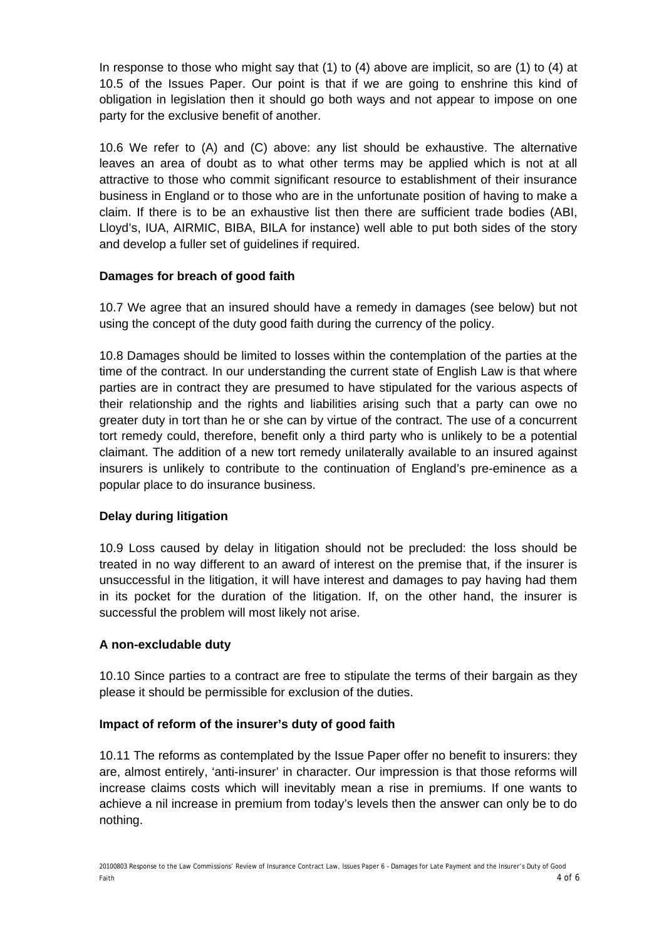In response to those who might say that (1) to (4) above are implicit, so are (1) to (4) at 10.5 of the Issues Paper. Our point is that if we are going to enshrine this kind of obligation in legislation then it should go both ways and not appear to impose on one party for the exclusive benefit of another.

10.6 We refer to (A) and (C) above: any list should be exhaustive. The alternative leaves an area of doubt as to what other terms may be applied which is not at all attractive to those who commit significant resource to establishment of their insurance business in England or to those who are in the unfortunate position of having to make a claim. If there is to be an exhaustive list then there are sufficient trade bodies (ABI, Lloyd's, IUA, AIRMIC, BIBA, BILA for instance) well able to put both sides of the story and develop a fuller set of guidelines if required.

### **Damages for breach of good faith**

10.7 We agree that an insured should have a remedy in damages (see below) but not using the concept of the duty good faith during the currency of the policy.

10.8 Damages should be limited to losses within the contemplation of the parties at the time of the contract. In our understanding the current state of English Law is that where parties are in contract they are presumed to have stipulated for the various aspects of their relationship and the rights and liabilities arising such that a party can owe no greater duty in tort than he or she can by virtue of the contract. The use of a concurrent tort remedy could, therefore, benefit only a third party who is unlikely to be a potential claimant. The addition of a new tort remedy unilaterally available to an insured against insurers is unlikely to contribute to the continuation of England's pre-eminence as a popular place to do insurance business.

## **Delay during litigation**

10.9 Loss caused by delay in litigation should not be precluded: the loss should be treated in no way different to an award of interest on the premise that, if the insurer is unsuccessful in the litigation, it will have interest and damages to pay having had them in its pocket for the duration of the litigation. If, on the other hand, the insurer is successful the problem will most likely not arise.

### **A non-excludable duty**

10.10 Since parties to a contract are free to stipulate the terms of their bargain as they please it should be permissible for exclusion of the duties.

### **Impact of reform of the insurer's duty of good faith**

10.11 The reforms as contemplated by the Issue Paper offer no benefit to insurers: they are, almost entirely, 'anti-insurer' in character. Our impression is that those reforms will increase claims costs which will inevitably mean a rise in premiums. If one wants to achieve a nil increase in premium from today's levels then the answer can only be to do nothing.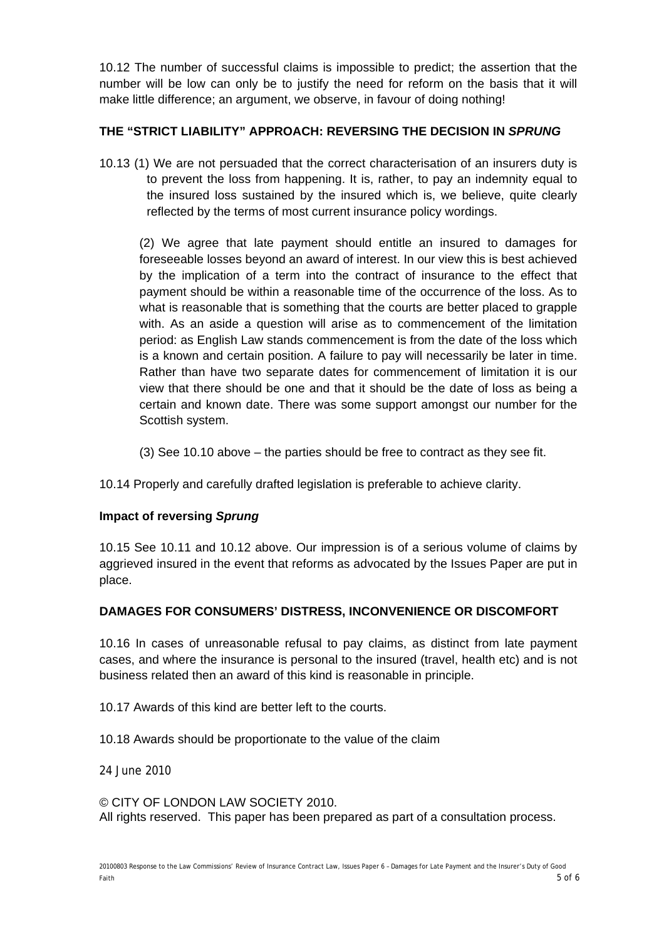10.12 The number of successful claims is impossible to predict; the assertion that the number will be low can only be to justify the need for reform on the basis that it will make little difference; an argument, we observe, in favour of doing nothing!

## **THE "STRICT LIABILITY" APPROACH: REVERSING THE DECISION IN** *SPRUNG*

10.13 (1) We are not persuaded that the correct characterisation of an insurers duty is to prevent the loss from happening. It is, rather, to pay an indemnity equal to the insured loss sustained by the insured which is, we believe, quite clearly reflected by the terms of most current insurance policy wordings.

(2) We agree that late payment should entitle an insured to damages for foreseeable losses beyond an award of interest. In our view this is best achieved by the implication of a term into the contract of insurance to the effect that payment should be within a reasonable time of the occurrence of the loss. As to what is reasonable that is something that the courts are better placed to grapple with. As an aside a question will arise as to commencement of the limitation period: as English Law stands commencement is from the date of the loss which is a known and certain position. A failure to pay will necessarily be later in time. Rather than have two separate dates for commencement of limitation it is our view that there should be one and that it should be the date of loss as being a certain and known date. There was some support amongst our number for the Scottish system.

(3) See 10.10 above – the parties should be free to contract as they see fit.

10.14 Properly and carefully drafted legislation is preferable to achieve clarity.

## **Impact of reversing** *Sprung*

10.15 See 10.11 and 10.12 above. Our impression is of a serious volume of claims by aggrieved insured in the event that reforms as advocated by the Issues Paper are put in place.

## **DAMAGES FOR CONSUMERS' DISTRESS, INCONVENIENCE OR DISCOMFORT**

10.16 In cases of unreasonable refusal to pay claims, as distinct from late payment cases, and where the insurance is personal to the insured (travel, health etc) and is not business related then an award of this kind is reasonable in principle.

10.17 Awards of this kind are better left to the courts.

10.18 Awards should be proportionate to the value of the claim

24 June 2010

© CITY OF LONDON LAW SOCIETY 2010. All rights reserved. This paper has been prepared as part of a consultation process.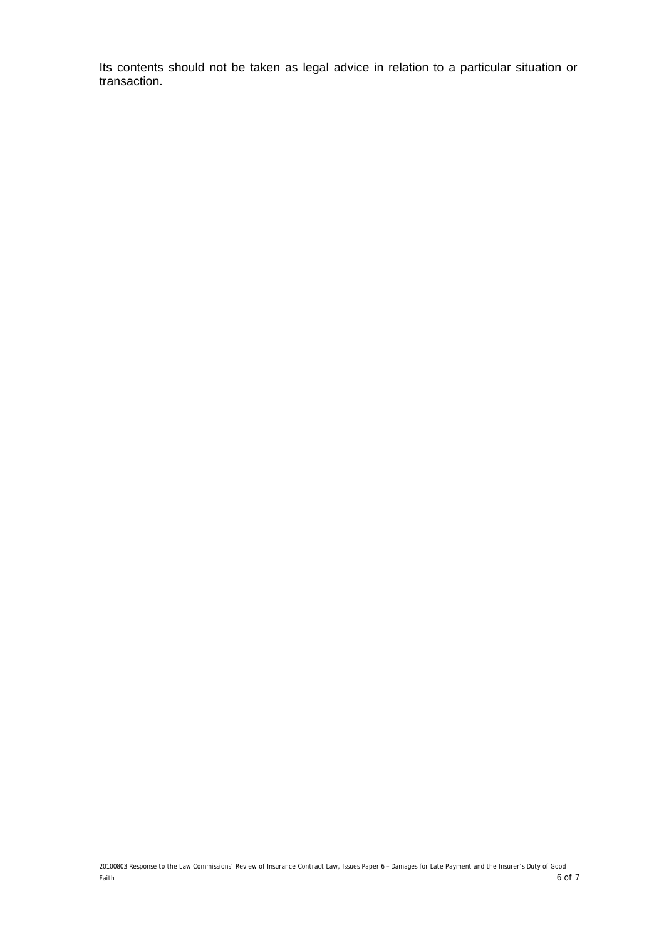Its contents should not be taken as legal advice in relation to a particular situation or transaction.

20100803 Response to the Law Commissions' Review of Insurance Contract Law, Issues Paper 6 – Damages for Late Payment and the Insurer's Duty of Good Faith  $6$  of  $7$